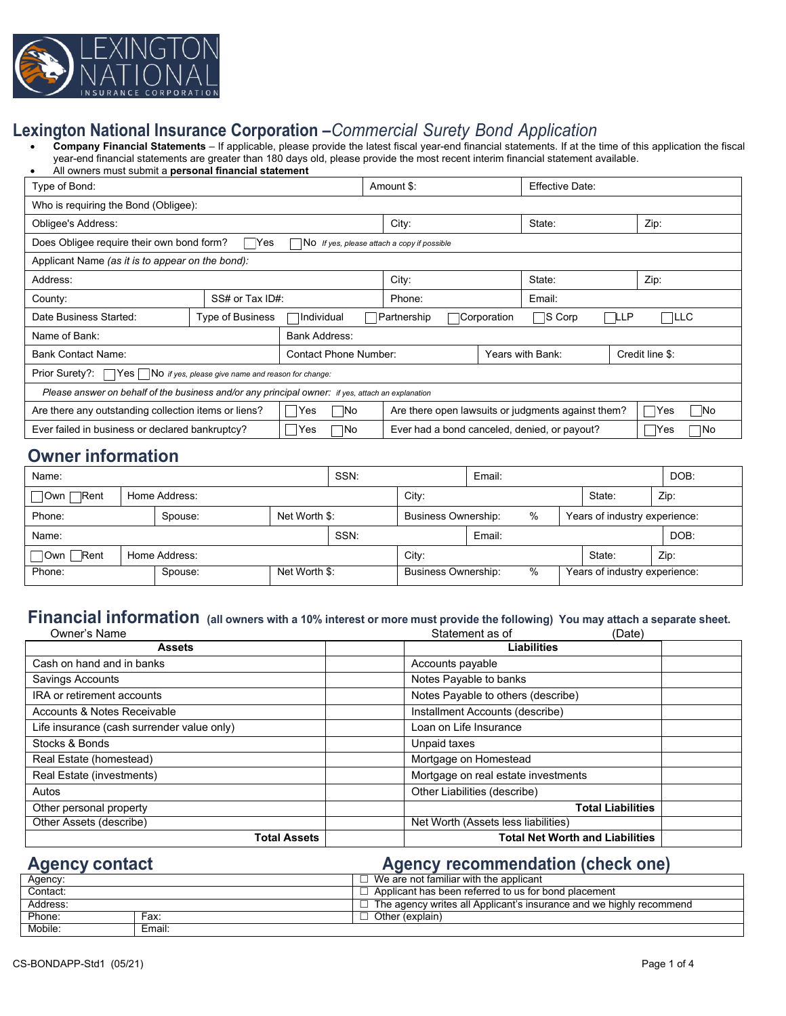

## **Lexington National Insurance Corporation –***Commercial Surety Bond Application*

• **Company Financial Statements** – If applicable, please provide the latest fiscal year-end financial statements. If at the time of this application the fiscal year-end financial statements are greater than 180 days old, please provide the most recent interim financial statement available.

| All owners must submit a <b>personal financial statement</b>                                                                      |                         |                                                                             |                                                     |                  |                 |                 |  |      |
|-----------------------------------------------------------------------------------------------------------------------------------|-------------------------|-----------------------------------------------------------------------------|-----------------------------------------------------|------------------|-----------------|-----------------|--|------|
| Type of Bond:                                                                                                                     |                         |                                                                             | Amount \$:                                          |                  | Effective Date: |                 |  |      |
| Who is requiring the Bond (Obligee):                                                                                              |                         |                                                                             |                                                     |                  |                 |                 |  |      |
| Obligee's Address:                                                                                                                |                         |                                                                             |                                                     | City:            |                 | State:          |  | Zip: |
| Does Obligee require their own bond form?<br>√ Yes<br>$\overline{\mathsf{No}}$ If yes, please attach a copy if possible           |                         |                                                                             |                                                     |                  |                 |                 |  |      |
| Applicant Name (as it is to appear on the bond):                                                                                  |                         |                                                                             |                                                     |                  |                 |                 |  |      |
| Address:                                                                                                                          |                         |                                                                             |                                                     | City:            |                 | State:          |  | Zip: |
| County:                                                                                                                           | SS# or Tax ID#:         | Phone:                                                                      |                                                     | Email:           |                 |                 |  |      |
| Date Business Started:                                                                                                            | <b>Type of Business</b> | ∃S Corp<br>LLP<br> LLC<br><b>Corporation</b><br>IIndividual<br> Partnership |                                                     |                  |                 |                 |  |      |
| <b>Bank Address:</b><br>Name of Bank:                                                                                             |                         |                                                                             |                                                     |                  |                 |                 |  |      |
| Bank Contact Name:                                                                                                                |                         | Contact Phone Number:                                                       |                                                     | Years with Bank: |                 | Credit line \$: |  |      |
| Prior Surety?:<br>$\Box$ Yes   $\Box$ No if yes, please give name and reason for change:                                          |                         |                                                                             |                                                     |                  |                 |                 |  |      |
| Please answer on behalf of the business and/or any principal owner: if yes, attach an explanation                                 |                         |                                                                             |                                                     |                  |                 |                 |  |      |
| Are there any outstanding collection items or liens?<br>Are there open lawsuits or judgments against them?<br> Yes<br> Yes<br>1No |                         |                                                                             |                                                     |                  | No              |                 |  |      |
| Ever failed in business or declared bankruptcy?                                                                                   | Yes<br>7No              |                                                                             | Ever had a bond canceled, denied, or payout?<br>Yes |                  |                 | ¶No             |  |      |

# **Owner information**

| Name:        |               |               |               | SSN: |                                 | Email:        |                               |                               | DOB: |
|--------------|---------------|---------------|---------------|------|---------------------------------|---------------|-------------------------------|-------------------------------|------|
| □Own □Rent   | Home Address: |               |               |      | City:                           |               |                               | State:                        | Zip: |
| Phone:       |               | Spouse:       | Net Worth \$: |      | <b>Business Ownership:</b>      | $\frac{0}{0}$ |                               | Years of industry experience: |      |
| Name:        |               |               | SSN:          |      | Email:                          |               |                               |                               |      |
| □ Own □ Rent |               | Home Address: |               |      | City:                           |               |                               | State:                        | Zip: |
| Phone:       |               | Spouse:       | Net Worth \$: |      | %<br><b>Business Ownership:</b> |               | Years of industry experience: |                               |      |

#### Financial information (all owners with a 10% interest or more must provide the following) You may attach a separate sheet.<br>
Owner's Name<br>
(Date) Owner's Name Statement as of (Date)

| <b>Assets</b>                              | Duw,<br><b>Liabilities</b>             |  |  |
|--------------------------------------------|----------------------------------------|--|--|
| Cash on hand and in banks                  | Accounts payable                       |  |  |
| Savings Accounts                           | Notes Payable to banks                 |  |  |
| IRA or retirement accounts                 | Notes Payable to others (describe)     |  |  |
| Accounts & Notes Receivable                | Installment Accounts (describe)        |  |  |
| Life insurance (cash surrender value only) | Loan on Life Insurance                 |  |  |
| Stocks & Bonds                             | Unpaid taxes                           |  |  |
| Real Estate (homestead)                    | Mortgage on Homestead                  |  |  |
| Real Estate (investments)                  | Mortgage on real estate investments    |  |  |
| Autos                                      | Other Liabilities (describe)           |  |  |
| Other personal property                    | <b>Total Liabilities</b>               |  |  |
| Other Assets (describe)                    | Net Worth (Assets less liabilities)    |  |  |
| <b>Total Assets</b>                        | <b>Total Net Worth and Liabilities</b> |  |  |

# **Agency contact Agency recommendation (check one)**

| Agency:  |        | $\,$ We are not familiar with the applicant $\,$                    |
|----------|--------|---------------------------------------------------------------------|
| Contact: |        | l Applicant has been referred to us for bond placement              |
| Address: |        | The agency writes all Applicant's insurance and we highly recommend |
| Phone:   | Fax:   | Other (explain)                                                     |
| Mobile:  | Email: |                                                                     |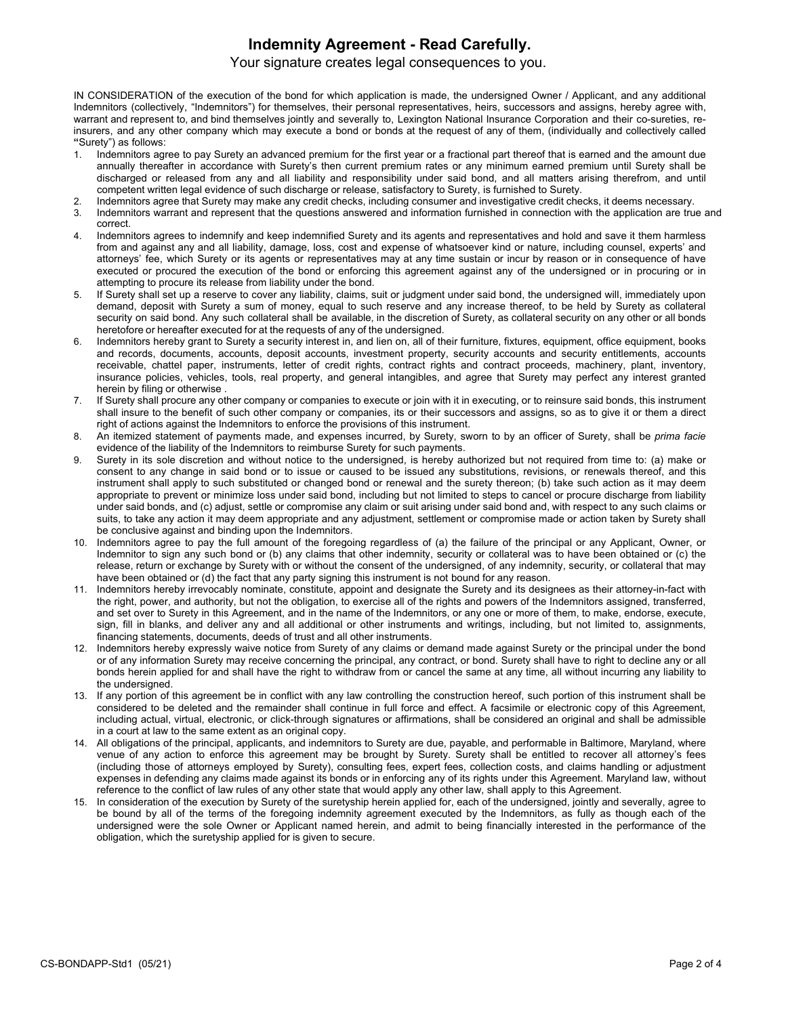### **Indemnity Agreement - Read Carefully.**

Your signature creates legal consequences to you.

IN CONSIDERATION of the execution of the bond for which application is made, the undersigned Owner / Applicant, and any additional Indemnitors (collectively, "Indemnitors") for themselves, their personal representatives, heirs, successors and assigns, hereby agree with, warrant and represent to, and bind themselves jointly and severally to, Lexington National Insurance Corporation and their co-sureties, reinsurers, and any other company which may execute a bond or bonds at the request of any of them, (individually and collectively called **"**Surety") as follows:

- 1. Indemnitors agree to pay Surety an advanced premium for the first year or a fractional part thereof that is earned and the amount due annually thereafter in accordance with Surety's then current premium rates or any minimum earned premium until Surety shall be discharged or released from any and all liability and responsibility under said bond, and all matters arising therefrom, and until competent written legal evidence of such discharge or release, satisfactory to Surety, is furnished to Surety.
- 2. Indemnitors agree that Surety may make any credit checks, including consumer and investigative credit checks, it deems necessary.
- 3. Indemnitors warrant and represent that the questions answered and information furnished in connection with the application are true and correct.
- 4. Indemnitors agrees to indemnify and keep indemnified Surety and its agents and representatives and hold and save it them harmless from and against any and all liability, damage, loss, cost and expense of whatsoever kind or nature, including counsel, experts' and attorneys' fee, which Surety or its agents or representatives may at any time sustain or incur by reason or in consequence of have executed or procured the execution of the bond or enforcing this agreement against any of the undersigned or in procuring or in attempting to procure its release from liability under the bond.
- If Surety shall set up a reserve to cover any liability, claims, suit or judgment under said bond, the undersigned will, immediately upon demand, deposit with Surety a sum of money, equal to such reserve and any increase thereof, to be held by Surety as collateral security on said bond. Any such collateral shall be available, in the discretion of Surety, as collateral security on any other or all bonds heretofore or hereafter executed for at the requests of any of the undersigned.
- 6. Indemnitors hereby grant to Surety a security interest in, and lien on, all of their furniture, fixtures, equipment, office equipment, books and records, documents, accounts, deposit accounts, investment property, security accounts and security entitlements, accounts receivable, chattel paper, instruments, letter of credit rights, contract rights and contract proceeds, machinery, plant, inventory, insurance policies, vehicles, tools, real property, and general intangibles, and agree that Surety may perfect any interest granted herein by filing or otherwise .
- 7. If Surety shall procure any other company or companies to execute or join with it in executing, or to reinsure said bonds, this instrument shall insure to the benefit of such other company or companies, its or their successors and assigns, so as to give it or them a direct right of actions against the Indemnitors to enforce the provisions of this instrument.
- 8. An itemized statement of payments made, and expenses incurred, by Surety, sworn to by an officer of Surety, shall be *prima facie* evidence of the liability of the Indemnitors to reimburse Surety for such payments.
- Surety in its sole discretion and without notice to the undersigned, is hereby authorized but not required from time to: (a) make or consent to any change in said bond or to issue or caused to be issued any substitutions, revisions, or renewals thereof, and this instrument shall apply to such substituted or changed bond or renewal and the surety thereon; (b) take such action as it may deem appropriate to prevent or minimize loss under said bond, including but not limited to steps to cancel or procure discharge from liability under said bonds, and (c) adjust, settle or compromise any claim or suit arising under said bond and, with respect to any such claims or suits, to take any action it may deem appropriate and any adjustment, settlement or compromise made or action taken by Surety shall be conclusive against and binding upon the Indemnitors.
- 10. Indemnitors agree to pay the full amount of the foregoing regardless of (a) the failure of the principal or any Applicant, Owner, or Indemnitor to sign any such bond or (b) any claims that other indemnity, security or collateral was to have been obtained or (c) the release, return or exchange by Surety with or without the consent of the undersigned, of any indemnity, security, or collateral that may have been obtained or (d) the fact that any party signing this instrument is not bound for any reason.
- 11. Indemnitors hereby irrevocably nominate, constitute, appoint and designate the Surety and its designees as their attorney-in-fact with the right, power, and authority, but not the obligation, to exercise all of the rights and powers of the Indemnitors assigned, transferred, and set over to Surety in this Agreement, and in the name of the Indemnitors, or any one or more of them, to make, endorse, execute, sign, fill in blanks, and deliver any and all additional or other instruments and writings, including, but not limited to, assignments, financing statements, documents, deeds of trust and all other instruments.
- 12. Indemnitors hereby expressly waive notice from Surety of any claims or demand made against Surety or the principal under the bond or of any information Surety may receive concerning the principal, any contract, or bond. Surety shall have to right to decline any or all bonds herein applied for and shall have the right to withdraw from or cancel the same at any time, all without incurring any liability to the undersigned.
- 13. If any portion of this agreement be in conflict with any law controlling the construction hereof, such portion of this instrument shall be considered to be deleted and the remainder shall continue in full force and effect. A facsimile or electronic copy of this Agreement, including actual, virtual, electronic, or click-through signatures or affirmations, shall be considered an original and shall be admissible in a court at law to the same extent as an original copy.
- 14. All obligations of the principal, applicants, and indemnitors to Surety are due, payable, and performable in Baltimore, Maryland, where venue of any action to enforce this agreement may be brought by Surety. Surety shall be entitled to recover all attorney's fees (including those of attorneys employed by Surety), consulting fees, expert fees, collection costs, and claims handling or adjustment expenses in defending any claims made against its bonds or in enforcing any of its rights under this Agreement. Maryland law, without reference to the conflict of law rules of any other state that would apply any other law, shall apply to this Agreement.
- 15. In consideration of the execution by Surety of the suretyship herein applied for, each of the undersigned, jointly and severally, agree to be bound by all of the terms of the foregoing indemnity agreement executed by the Indemnitors, as fully as though each of the undersigned were the sole Owner or Applicant named herein, and admit to being financially interested in the performance of the obligation, which the suretyship applied for is given to secure.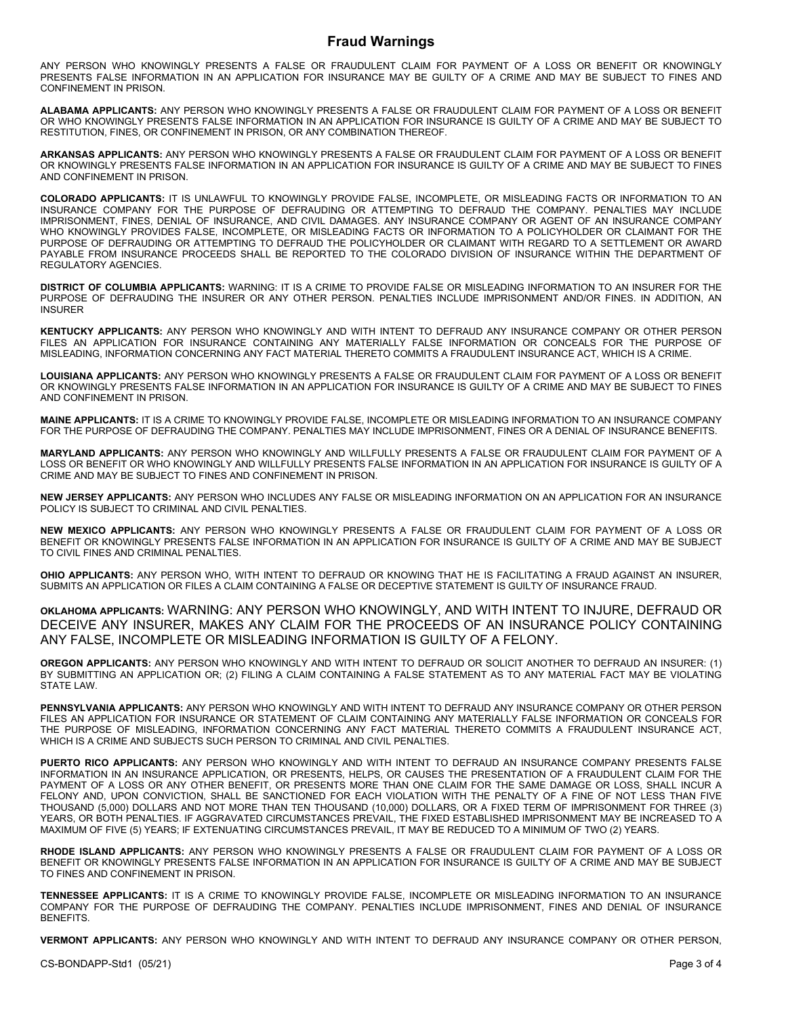#### **Fraud Warnings**

ANY PERSON WHO KNOWINGLY PRESENTS A FALSE OR FRAUDULENT CLAIM FOR PAYMENT OF A LOSS OR BENEFIT OR KNOWINGLY PRESENTS FALSE INFORMATION IN AN APPLICATION FOR INSURANCE MAY BE GUILTY OF A CRIME AND MAY BE SUBJECT TO FINES AND CONFINEMENT IN PRISON.

**ALABAMA APPLICANTS:** ANY PERSON WHO KNOWINGLY PRESENTS A FALSE OR FRAUDULENT CLAIM FOR PAYMENT OF A LOSS OR BENEFIT OR WHO KNOWINGLY PRESENTS FALSE INFORMATION IN AN APPLICATION FOR INSURANCE IS GUILTY OF A CRIME AND MAY BE SUBJECT TO RESTITUTION, FINES, OR CONFINEMENT IN PRISON, OR ANY COMBINATION THEREOF.

**ARKANSAS APPLICANTS:** ANY PERSON WHO KNOWINGLY PRESENTS A FALSE OR FRAUDULENT CLAIM FOR PAYMENT OF A LOSS OR BENEFIT OR KNOWINGLY PRESENTS FALSE INFORMATION IN AN APPLICATION FOR INSURANCE IS GUILTY OF A CRIME AND MAY BE SUBJECT TO FINES AND CONFINEMENT IN PRISON.

**COLORADO APPLICANTS:** IT IS UNLAWFUL TO KNOWINGLY PROVIDE FALSE, INCOMPLETE, OR MISLEADING FACTS OR INFORMATION TO AN INSURANCE COMPANY FOR THE PURPOSE OF DEFRAUDING OR ATTEMPTING TO DEFRAUD THE COMPANY. PENALTIES MAY INCLUDE IMPRISONMENT, FINES, DENIAL OF INSURANCE, AND CIVIL DAMAGES. ANY INSURANCE COMPANY OR AGENT OF AN INSURANCE COMPANY WHO KNOWINGLY PROVIDES FALSE, INCOMPLETE, OR MISLEADING FACTS OR INFORMATION TO A POLICYHOLDER OR CLAIMANT FOR THE PURPOSE OF DEFRAUDING OR ATTEMPTING TO DEFRAUD THE POLICYHOLDER OR CLAIMANT WITH REGARD TO A SETTLEMENT OR AWARD PAYABLE FROM INSURANCE PROCEEDS SHALL BE REPORTED TO THE COLORADO DIVISION OF INSURANCE WITHIN THE DEPARTMENT OF REGULATORY AGENCIES.

**DISTRICT OF COLUMBIA APPLICANTS:** WARNING: IT IS A CRIME TO PROVIDE FALSE OR MISLEADING INFORMATION TO AN INSURER FOR THE PURPOSE OF DEFRAUDING THE INSURER OR ANY OTHER PERSON. PENALTIES INCLUDE IMPRISONMENT AND/OR FINES. IN ADDITION, AN INSURER

**KENTUCKY APPLICANTS:** ANY PERSON WHO KNOWINGLY AND WITH INTENT TO DEFRAUD ANY INSURANCE COMPANY OR OTHER PERSON FILES AN APPLICATION FOR INSURANCE CONTAINING ANY MATERIALLY FALSE INFORMATION OR CONCEALS FOR THE PURPOSE OF MISLEADING, INFORMATION CONCERNING ANY FACT MATERIAL THERETO COMMITS A FRAUDULENT INSURANCE ACT, WHICH IS A CRIME.

**LOUISIANA APPLICANTS:** ANY PERSON WHO KNOWINGLY PRESENTS A FALSE OR FRAUDULENT CLAIM FOR PAYMENT OF A LOSS OR BENEFIT OR KNOWINGLY PRESENTS FALSE INFORMATION IN AN APPLICATION FOR INSURANCE IS GUILTY OF A CRIME AND MAY BE SUBJECT TO FINES AND CONFINEMENT IN PRISON.

**MAINE APPLICANTS:** IT IS A CRIME TO KNOWINGLY PROVIDE FALSE, INCOMPLETE OR MISLEADING INFORMATION TO AN INSURANCE COMPANY FOR THE PURPOSE OF DEFRAUDING THE COMPANY. PENALTIES MAY INCLUDE IMPRISONMENT, FINES OR A DENIAL OF INSURANCE BENEFITS.

**MARYLAND APPLICANTS:** ANY PERSON WHO KNOWINGLY AND WILLFULLY PRESENTS A FALSE OR FRAUDULENT CLAIM FOR PAYMENT OF A LOSS OR BENEFIT OR WHO KNOWINGLY AND WILLFULLY PRESENTS FALSE INFORMATION IN AN APPLICATION FOR INSURANCE IS GUILTY OF A CRIME AND MAY BE SUBJECT TO FINES AND CONFINEMENT IN PRISON.

**NEW JERSEY APPLICANTS:** ANY PERSON WHO INCLUDES ANY FALSE OR MISLEADING INFORMATION ON AN APPLICATION FOR AN INSURANCE POLICY IS SUBJECT TO CRIMINAL AND CIVIL PENALTIES.

**NEW MEXICO APPLICANTS:** ANY PERSON WHO KNOWINGLY PRESENTS A FALSE OR FRAUDULENT CLAIM FOR PAYMENT OF A LOSS OR BENEFIT OR KNOWINGLY PRESENTS FALSE INFORMATION IN AN APPLICATION FOR INSURANCE IS GUILTY OF A CRIME AND MAY BE SUBJECT TO CIVIL FINES AND CRIMINAL PENALTIES.

**OHIO APPLICANTS:** ANY PERSON WHO, WITH INTENT TO DEFRAUD OR KNOWING THAT HE IS FACILITATING A FRAUD AGAINST AN INSURER, SUBMITS AN APPLICATION OR FILES A CLAIM CONTAINING A FALSE OR DECEPTIVE STATEMENT IS GUILTY OF INSURANCE FRAUD.

**OKLAHOMA APPLICANTS:** WARNING: ANY PERSON WHO KNOWINGLY, AND WITH INTENT TO INJURE, DEFRAUD OR DECEIVE ANY INSURER, MAKES ANY CLAIM FOR THE PROCEEDS OF AN INSURANCE POLICY CONTAINING ANY FALSE, INCOMPLETE OR MISLEADING INFORMATION IS GUILTY OF A FELONY.

**OREGON APPLICANTS:** ANY PERSON WHO KNOWINGLY AND WITH INTENT TO DEFRAUD OR SOLICIT ANOTHER TO DEFRAUD AN INSURER: (1) BY SUBMITTING AN APPLICATION OR; (2) FILING A CLAIM CONTAINING A FALSE STATEMENT AS TO ANY MATERIAL FACT MAY BE VIOLATING STATE LAW

**PENNSYLVANIA APPLICANTS:** ANY PERSON WHO KNOWINGLY AND WITH INTENT TO DEFRAUD ANY INSURANCE COMPANY OR OTHER PERSON FILES AN APPLICATION FOR INSURANCE OR STATEMENT OF CLAIM CONTAINING ANY MATERIALLY FALSE INFORMATION OR CONCEALS FOR THE PURPOSE OF MISLEADING, INFORMATION CONCERNING ANY FACT MATERIAL THERETO COMMITS A FRAUDULENT INSURANCE ACT, WHICH IS A CRIME AND SUBJECTS SUCH PERSON TO CRIMINAL AND CIVIL PENALTIES.

**PUERTO RICO APPLICANTS:** ANY PERSON WHO KNOWINGLY AND WITH INTENT TO DEFRAUD AN INSURANCE COMPANY PRESENTS FALSE INFORMATION IN AN INSURANCE APPLICATION, OR PRESENTS, HELPS, OR CAUSES THE PRESENTATION OF A FRAUDULENT CLAIM FOR THE PAYMENT OF A LOSS OR ANY OTHER BENEFIT, OR PRESENTS MORE THAN ONE CLAIM FOR THE SAME DAMAGE OR LOSS, SHALL INCUR A FELONY AND, UPON CONVICTION, SHALL BE SANCTIONED FOR EACH VIOLATION WITH THE PENALTY OF A FINE OF NOT LESS THAN FIVE THOUSAND (5,000) DOLLARS AND NOT MORE THAN TEN THOUSAND (10,000) DOLLARS, OR A FIXED TERM OF IMPRISONMENT FOR THREE (3) YEARS, OR BOTH PENALTIES. IF AGGRAVATED CIRCUMSTANCES PREVAIL, THE FIXED ESTABLISHED IMPRISONMENT MAY BE INCREASED TO A MAXIMUM OF FIVE (5) YEARS; IF EXTENUATING CIRCUMSTANCES PREVAIL, IT MAY BE REDUCED TO A MINIMUM OF TWO (2) YEARS.

**RHODE ISLAND APPLICANTS:** ANY PERSON WHO KNOWINGLY PRESENTS A FALSE OR FRAUDULENT CLAIM FOR PAYMENT OF A LOSS OR BENEFIT OR KNOWINGLY PRESENTS FALSE INFORMATION IN AN APPLICATION FOR INSURANCE IS GUILTY OF A CRIME AND MAY BE SUBJECT TO FINES AND CONFINEMENT IN PRISON.

**TENNESSEE APPLICANTS:** IT IS A CRIME TO KNOWINGLY PROVIDE FALSE, INCOMPLETE OR MISLEADING INFORMATION TO AN INSURANCE COMPANY FOR THE PURPOSE OF DEFRAUDING THE COMPANY. PENALTIES INCLUDE IMPRISONMENT, FINES AND DENIAL OF INSURANCE **BENEFITS** 

**VERMONT APPLICANTS:** ANY PERSON WHO KNOWINGLY AND WITH INTENT TO DEFRAUD ANY INSURANCE COMPANY OR OTHER PERSON,